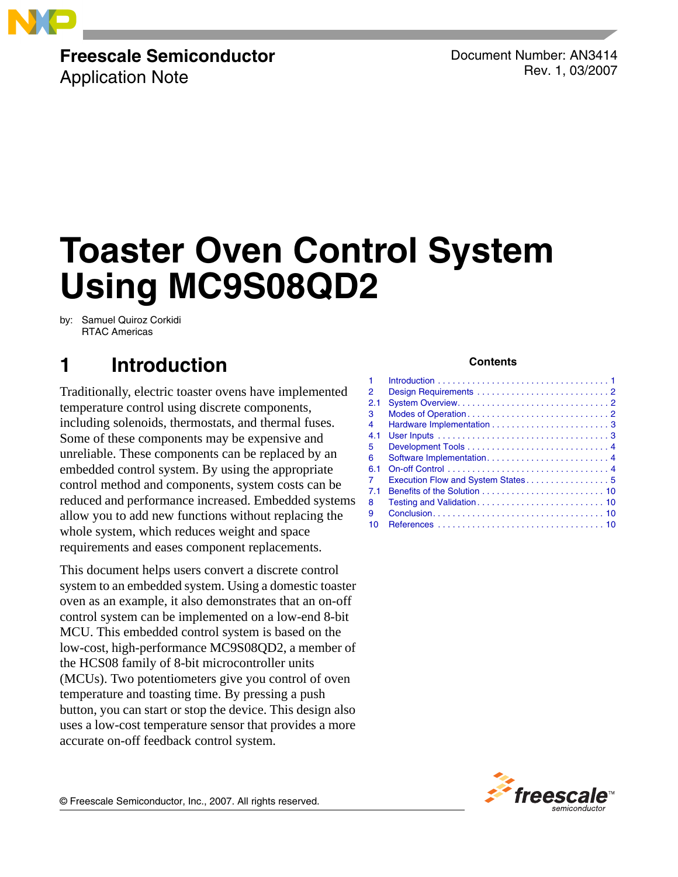

## **Freescale Semiconductor**

Application Note

Document Number: AN3414 Rev. 1, 03/2007

# **Toaster Oven Control System Using MC9S08QD2**

by: Samuel Quiroz Corkidi RTAC Americas

## <span id="page-0-0"></span>**1 Introduction**

Traditionally, electric toaster ovens have implemented temperature control using discrete components, including solenoids, thermostats, and thermal fuses. Some of these components may be expensive and unreliable. These components can be replaced by an embedded control system. By using the appropriate control method and components, system costs can be reduced and performance increased. Embedded systems allow you to add new functions without replacing the whole system, which reduces weight and space requirements and eases component replacements.

This document helps users convert a discrete control system to an embedded system. Using a domestic toaster oven as an example, it also demonstrates that an on-off control system can be implemented on a low-end 8-bit MCU. This embedded control system is based on the low-cost, high-performance MC9S08QD2, a member of the HCS08 family of 8-bit microcontroller units (MCUs). Two potentiometers give you control of oven temperature and toasting time. By pressing a push button, you can start or stop the device. This design also uses a low-cost temperature sensor that provides a more accurate on-off feedback control system.

#### **Contents**

| 1   |  |
|-----|--|
| 2   |  |
| 2.1 |  |
| з   |  |
| 4   |  |
| 4.1 |  |
| 5   |  |
| 6   |  |
| 6.1 |  |
| 7   |  |
| 7.1 |  |
| 8   |  |
| 9   |  |
| 10  |  |



© Freescale Semiconductor, Inc., 2007. All rights reserved.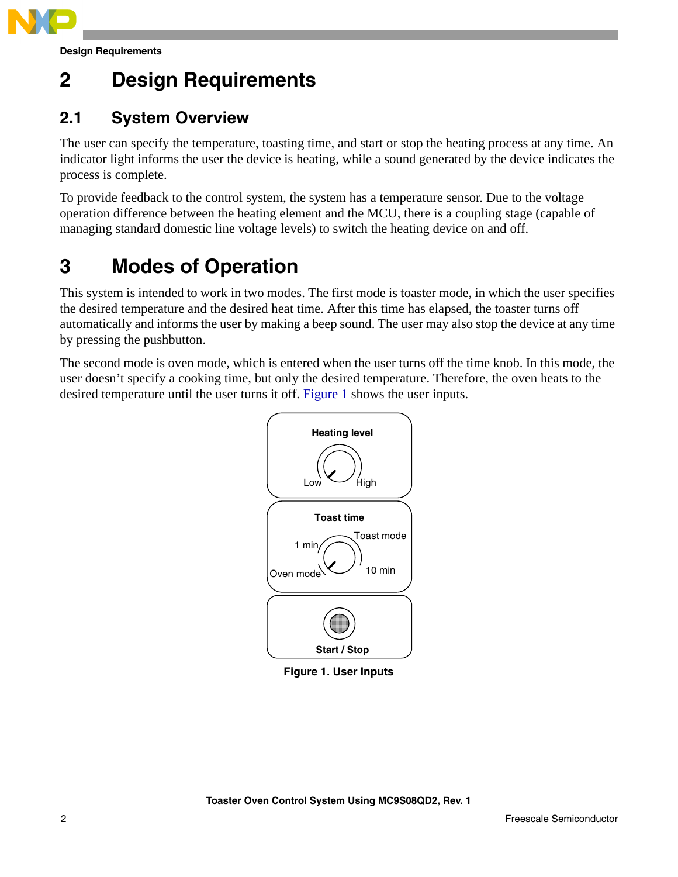

**Design Requirements**

## <span id="page-1-0"></span>**2 Design Requirements**

### <span id="page-1-1"></span>**2.1 System Overview**

The user can specify the temperature, toasting time, and start or stop the heating process at any time. An indicator light informs the user the device is heating, while a sound generated by the device indicates the process is complete.

To provide feedback to the control system, the system has a temperature sensor. Due to the voltage operation difference between the heating element and the MCU, there is a coupling stage (capable of managing standard domestic line voltage levels) to switch the heating device on and off.

## <span id="page-1-2"></span>**3 Modes of Operation**

This system is intended to work in two modes. The first mode is toaster mode, in which the user specifies the desired temperature and the desired heat time. After this time has elapsed, the toaster turns off automatically and informs the user by making a beep sound. The user may also stop the device at any time by pressing the pushbutton.

<span id="page-1-3"></span>The second mode is oven mode, which is entered when the user turns off the time knob. In this mode, the user doesn't specify a cooking time, but only the desired temperature. Therefore, the oven heats to the desired temperature until the user turns it off. [Figure 1](#page-1-3) shows the user inputs.



**Figure 1. User Inputs**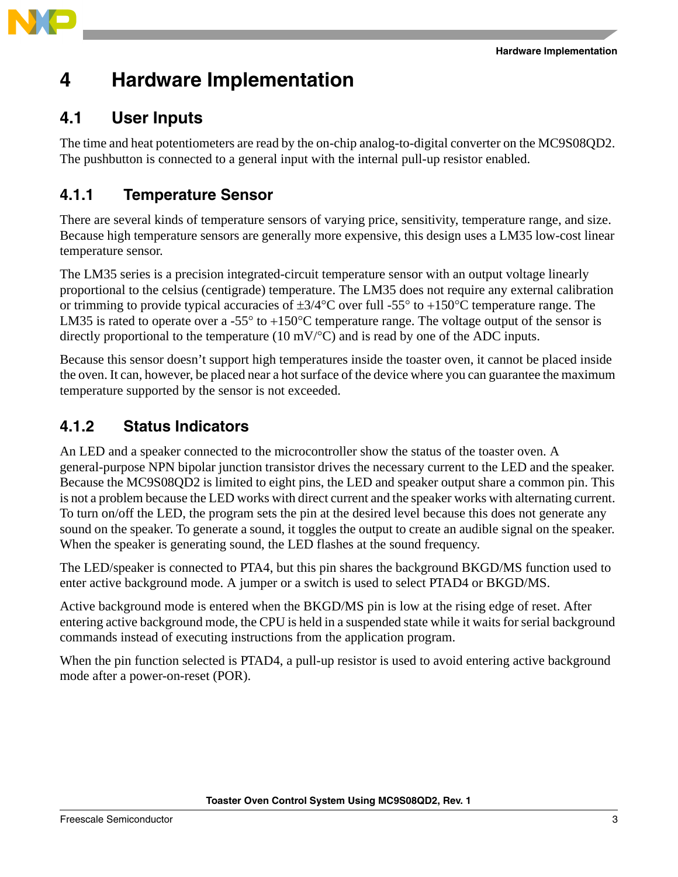

### <span id="page-2-0"></span>**4 Hardware Implementation**

### <span id="page-2-1"></span>**4.1 User Inputs**

The time and heat potentiometers are read by the on-chip analog-to-digital converter on the MC9S08QD2. The pushbutton is connected to a general input with the internal pull-up resistor enabled.

#### **4.1.1 Temperature Sensor**

There are several kinds of temperature sensors of varying price, sensitivity, temperature range, and size. Because high temperature sensors are generally more expensive, this design uses a LM35 low-cost linear temperature sensor.

The LM35 series is a precision integrated-circuit temperature sensor with an output voltage linearly proportional to the celsius (centigrade) temperature. The LM35 does not require any external calibration or trimming to provide typical accuracies of  $\pm 3/4$ °C over full -55° to +150°C temperature range. The LM35 is rated to operate over a -55 $\degree$  to +150 $\degree$ C temperature range. The voltage output of the sensor is directly proportional to the temperature (10 mV/ $\degree$ C) and is read by one of the ADC inputs.

Because this sensor doesn't support high temperatures inside the toaster oven, it cannot be placed inside the oven. It can, however, be placed near a hot surface of the device where you can guarantee the maximum temperature supported by the sensor is not exceeded.

### **4.1.2 Status Indicators**

An LED and a speaker connected to the microcontroller show the status of the toaster oven. A general-purpose NPN bipolar junction transistor drives the necessary current to the LED and the speaker. Because the MC9S08QD2 is limited to eight pins, the LED and speaker output share a common pin. This is not a problem because the LED works with direct current and the speaker works with alternating current. To turn on/off the LED, the program sets the pin at the desired level because this does not generate any sound on the speaker. To generate a sound, it toggles the output to create an audible signal on the speaker. When the speaker is generating sound, the LED flashes at the sound frequency.

The LED/speaker is connected to PTA4, but this pin shares the background BKGD/MS function used to enter active background mode. A jumper or a switch is used to select PTAD4 or BKGD/MS.

Active background mode is entered when the BKGD/MS pin is low at the rising edge of reset. After entering active background mode, the CPU is held in a suspended state while it waits for serial background commands instead of executing instructions from the application program.

When the pin function selected is PTAD4, a pull-up resistor is used to avoid entering active background mode after a power-on-reset (POR).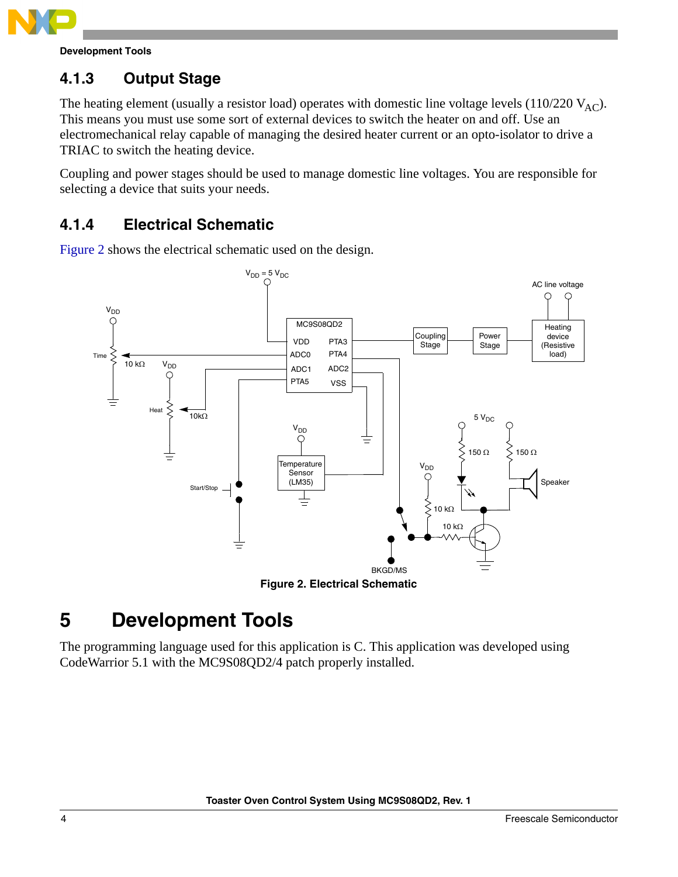

**Development Tools**

### **4.1.3 Output Stage**

The heating element (usually a resistor load) operates with domestic line voltage levels (110/220  $V_{AC}$ ). This means you must use some sort of external devices to switch the heater on and off. Use an electromechanical relay capable of managing the desired heater current or an opto-isolator to drive a TRIAC to switch the heating device.

Coupling and power stages should be used to manage domestic line voltages. You are responsible for selecting a device that suits your needs.

### **4.1.4 Electrical Schematic**

[Figure 2](#page-3-1) shows the electrical schematic used on the design.



## <span id="page-3-1"></span><span id="page-3-0"></span>**5 Development Tools**

The programming language used for this application is C. This application was developed using CodeWarrior 5.1 with the MC9S08QD2/4 patch properly installed.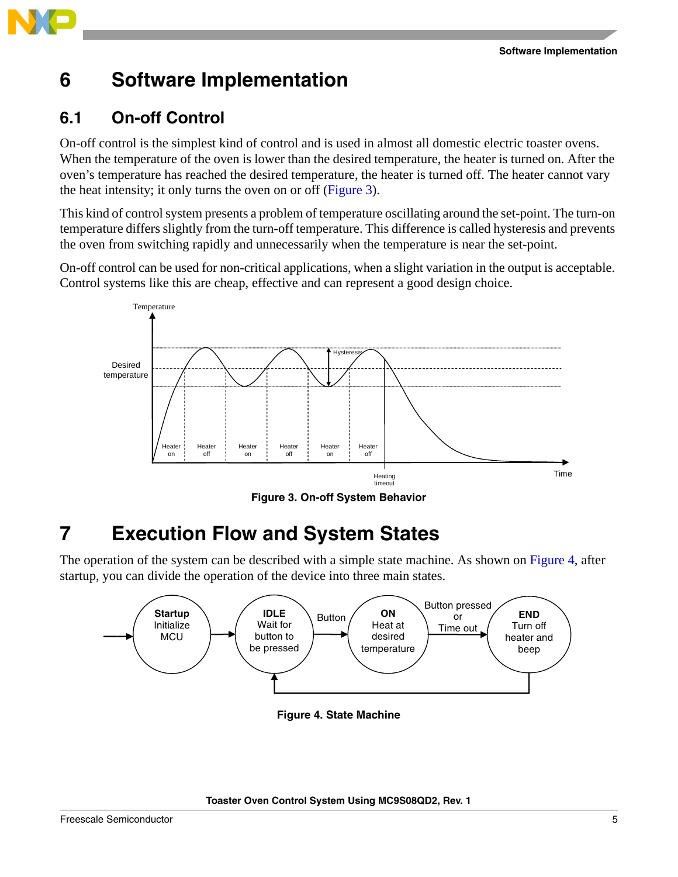

### <span id="page-4-0"></span>**6 Software Implementation**

### <span id="page-4-1"></span>**6.1 On-off Control**

On-off control is the simplest kind of control and is used in almost all domestic electric toaster ovens. When the temperature of the oven is lower than the desired temperature, the heater is turned on. After the oven's temperature has reached the desired temperature, the heater is turned off. The heater cannot vary the heat intensity; it only turns the oven on or off [\(Figure 3](#page-4-3)).

This kind of control system presents a problem of temperature oscillating around the set-point. The turn-on temperature differs slightly from the turn-off temperature. This difference is called hysteresis and prevents the oven from switching rapidly and unnecessarily when the temperature is near the set-point.

On-off control can be used for non-critical applications, when a slight variation in the output is acceptable. Control systems like this are cheap, effective and can represent a good design choice.



**Figure 3. On-off System Behavior**

## <span id="page-4-3"></span><span id="page-4-2"></span>**7 Execution Flow and System States**

The operation of the system can be described with a simple state machine. As shown on [Figure 4](#page-4-4), after startup, you can divide the operation of the device into three main states.

<span id="page-4-4"></span>

**Figure 4. State Machine**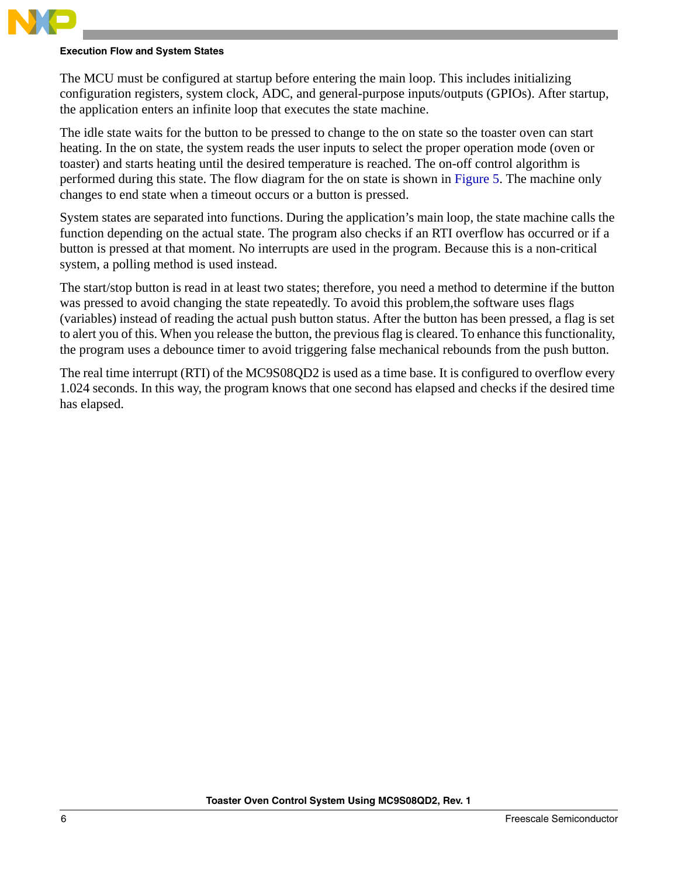

#### **Execution Flow and System States**

The MCU must be configured at startup before entering the main loop. This includes initializing configuration registers, system clock, ADC, and general-purpose inputs/outputs (GPIOs). After startup, the application enters an infinite loop that executes the state machine.

The idle state waits for the button to be pressed to change to the on state so the toaster oven can start heating. In the on state, the system reads the user inputs to select the proper operation mode (oven or toaster) and starts heating until the desired temperature is reached. The on-off control algorithm is performed during this state. The flow diagram for the on state is shown in [Figure 5](#page-6-0). The machine only changes to end state when a timeout occurs or a button is pressed.

System states are separated into functions. During the application's main loop, the state machine calls the function depending on the actual state. The program also checks if an RTI overflow has occurred or if a button is pressed at that moment. No interrupts are used in the program. Because this is a non-critical system, a polling method is used instead.

The start/stop button is read in at least two states; therefore, you need a method to determine if the button was pressed to avoid changing the state repeatedly. To avoid this problem,the software uses flags (variables) instead of reading the actual push button status. After the button has been pressed, a flag is set to alert you of this. When you release the button, the previous flag is cleared. To enhance this functionality, the program uses a debounce timer to avoid triggering false mechanical rebounds from the push button.

The real time interrupt (RTI) of the MC9S08QD2 is used as a time base. It is configured to overflow every 1.024 seconds. In this way, the program knows that one second has elapsed and checks if the desired time has elapsed.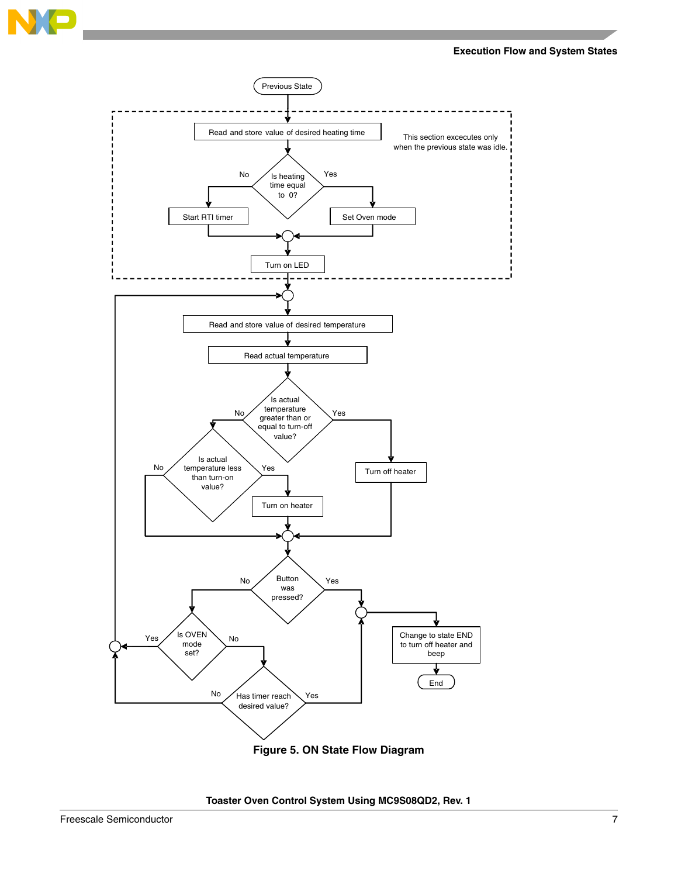

**Execution Flow and System States**



#### <span id="page-6-0"></span>**Toaster Oven Control System Using MC9S08QD2, Rev. 1**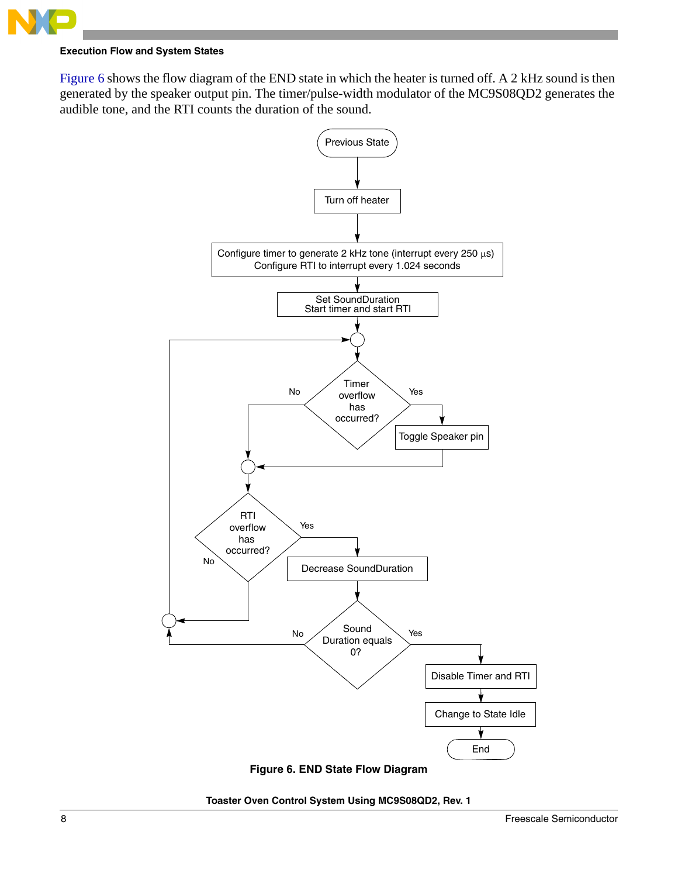

#### **Execution Flow and System States**

[Figure 6](#page-7-0) shows the flow diagram of the END state in which the heater is turned off. A 2 kHz sound is then generated by the speaker output pin. The timer/pulse-width modulator of the MC9S08QD2 generates the audible tone, and the RTI counts the duration of the sound.





<span id="page-7-0"></span>**Toaster Oven Control System Using MC9S08QD2, Rev. 1**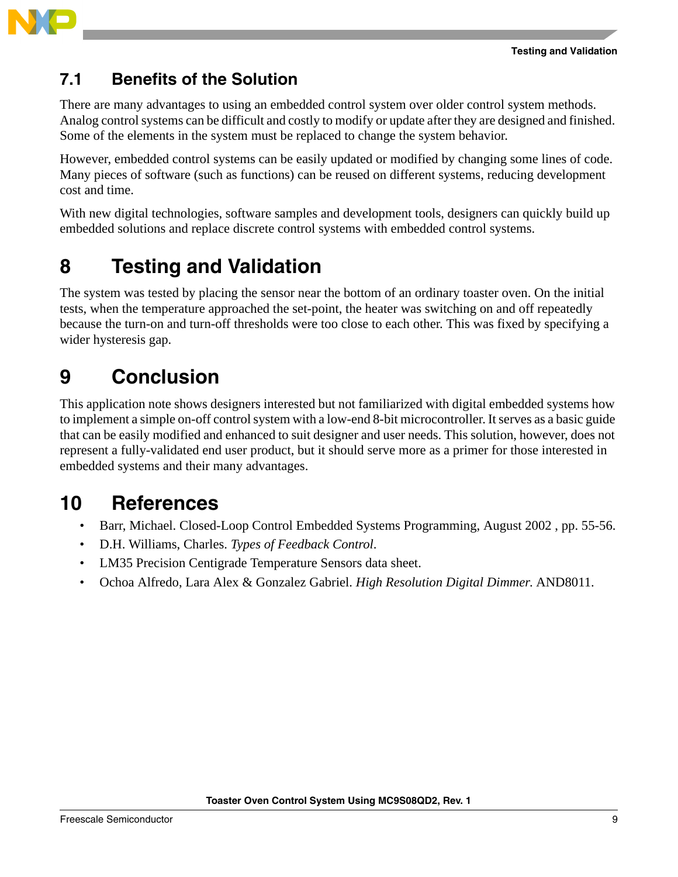

### <span id="page-8-0"></span>**7.1 Benefits of the Solution**

There are many advantages to using an embedded control system over older control system methods. Analog control systems can be difficult and costly to modify or update after they are designed and finished. Some of the elements in the system must be replaced to change the system behavior.

However, embedded control systems can be easily updated or modified by changing some lines of code. Many pieces of software (such as functions) can be reused on different systems, reducing development cost and time.

With new digital technologies, software samples and development tools, designers can quickly build up embedded solutions and replace discrete control systems with embedded control systems.

## <span id="page-8-1"></span>**8 Testing and Validation**

The system was tested by placing the sensor near the bottom of an ordinary toaster oven. On the initial tests, when the temperature approached the set-point, the heater was switching on and off repeatedly because the turn-on and turn-off thresholds were too close to each other. This was fixed by specifying a wider hysteresis gap.

## <span id="page-8-2"></span>**9 Conclusion**

This application note shows designers interested but not familiarized with digital embedded systems how to implement a simple on-off control system with a low-end 8-bit microcontroller. It serves as a basic guide that can be easily modified and enhanced to suit designer and user needs. This solution, however, does not represent a fully-validated end user product, but it should serve more as a primer for those interested in embedded systems and their many advantages.

## **10 References**

- Barr, Michael. Closed-Loop Control Embedded Systems Programming, August 2002 , pp. 55-56.
- D.H. Williams, Charles. *Types of Feedback Control*.
- LM35 Precision Centigrade Temperature Sensors data sheet.
- Ochoa Alfredo, Lara Alex & Gonzalez Gabriel. *High Resolution Digital Dimmer*. AND8011.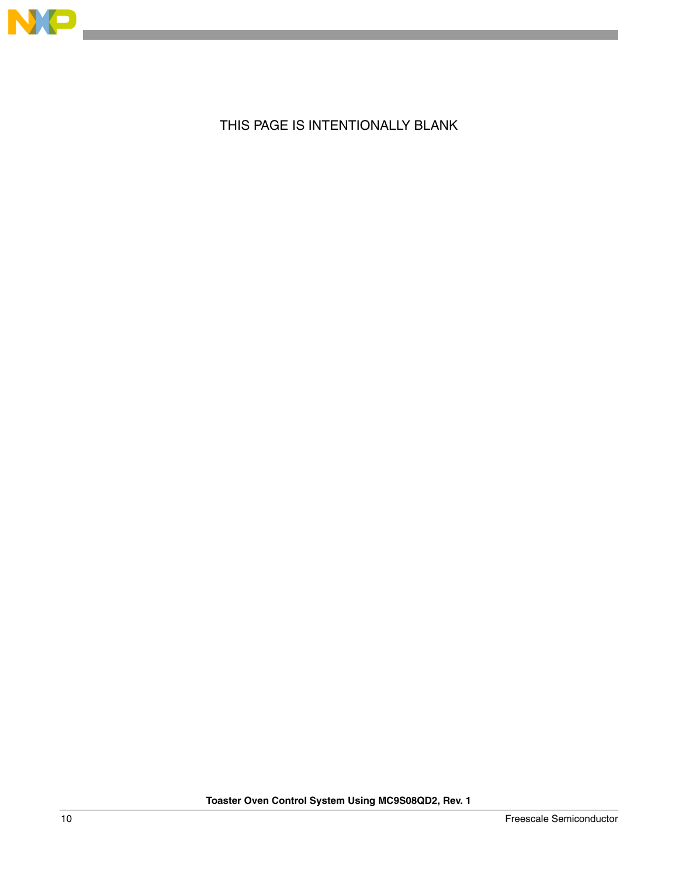

THIS PAGE IS INTENTIONALLY BLANK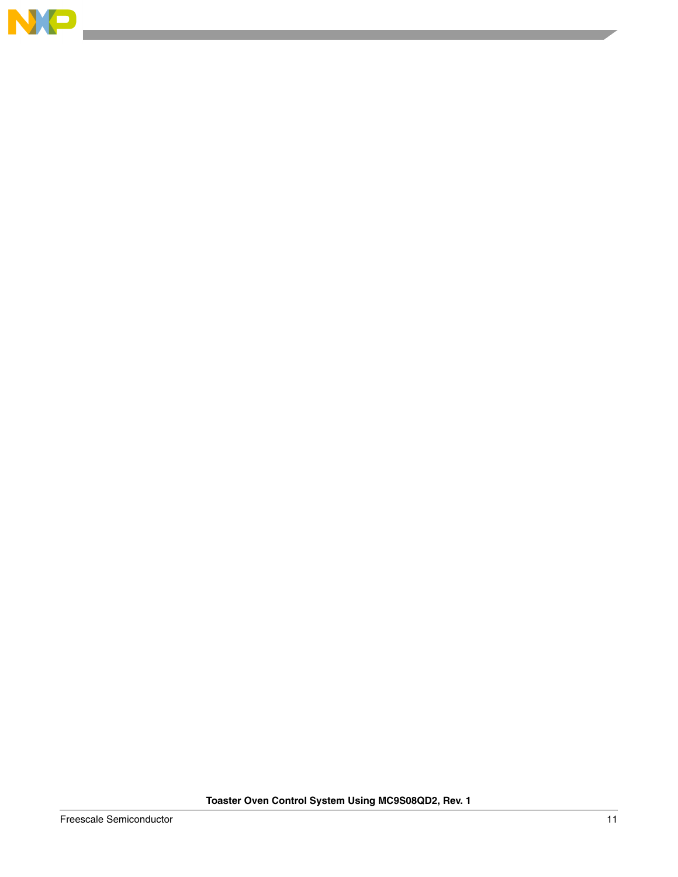